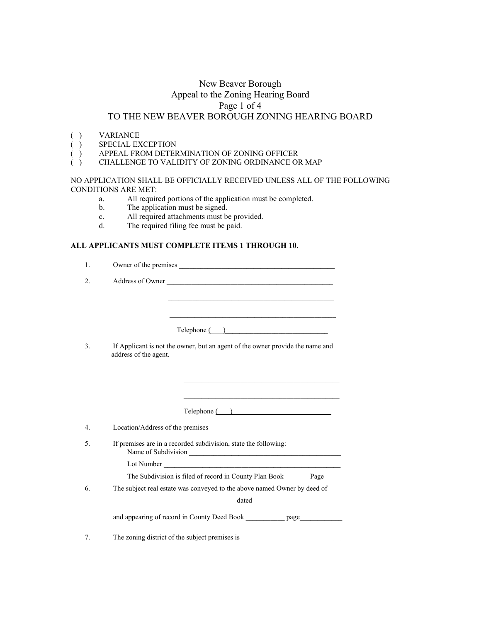## New Beaver Borough Appeal to the Zoning Hearing Board Page 1 of 4 TO THE NEW BEAVER BOROUGH ZONING HEARING BOARD

- 
- ( ) VARIANCE<br>( ) SPECIAL EX SPECIAL EXCEPTION
- ( ) APPEAL FROM DETERMINATION OF ZONING OFFICER
- ( ) CHALLENGE TO VALIDITY OF ZONING ORDINANCE OR MAP

NO APPLICATION SHALL BE OFFICIALLY RECEIVED UNLESS ALL OF THE FOLLOWING CONDITIONS ARE MET:

- a. All required portions of the application must be completed.
- b. The application must be signed.
- c. All required attachments must be provided.
- d. The required filing fee must be paid.

### **ALL APPLICANTS MUST COMPLETE ITEMS 1 THROUGH 10.**

| 1. |                                                                                                        |
|----|--------------------------------------------------------------------------------------------------------|
| 2. | Address of Owner                                                                                       |
|    |                                                                                                        |
|    | <u> 1980 - Johann John Stone, markin basar (b. 1980)</u>                                               |
|    | Telephone ( )                                                                                          |
| 3. | If Applicant is not the owner, but an agent of the owner provide the name and<br>address of the agent. |
|    |                                                                                                        |
|    |                                                                                                        |
|    |                                                                                                        |
|    | $\text{Telephone}$ ( )                                                                                 |
| 4. |                                                                                                        |
| 5. | If premises are in a recorded subdivision, state the following:                                        |
|    |                                                                                                        |
|    | The Subdivision is filed of record in County Plan Book _______Page_____                                |
| 6. | The subject real estate was conveyed to the above named Owner by deed of                               |
|    | $\boxed{\text{dated}}$<br><u> 2000 - Andrea Andrewski, amerikansk politik (d. 1982)</u>                |
|    | and appearing of record in County Deed Book ___________ page____________                               |
| 7. |                                                                                                        |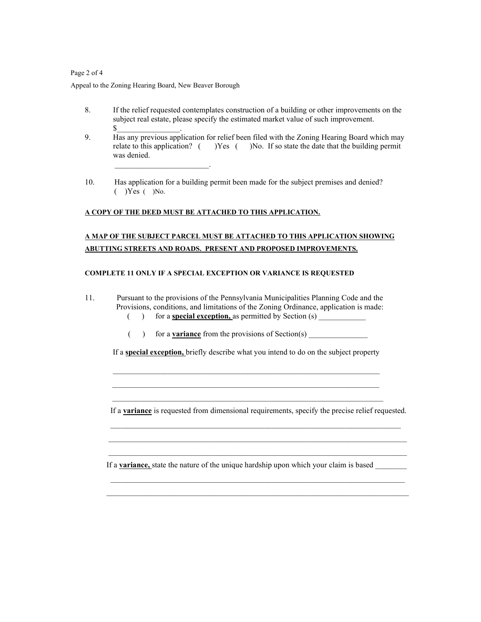### Page 2 of 4

Appeal to the Zoning Hearing Board, New Beaver Borough

\_\_\_\_\_\_\_\_\_\_\_\_\_\_\_\_\_\_\_\_\_\_\_\_.

- 8. If the relief requested contemplates construction of a building or other improvements on the subject real estate, please specify the estimated market value of such improvement.  $\mathbb S$  .
- 9. Has any previous application for relief been filed with the Zoning Hearing Board which may relate to this application? ( )Yes ( )No. If so state the date that the building permit was denied.
- 10. Has application for a building permit been made for the subject premises and denied?  $(Y \cap Y)$  ( )No.

### **A COPY OF THE DEED MUST BE ATTACHED TO THIS APPLICATION.**

## **A MAP OF THE SUBJECT PARCEL MUST BE ATTACHED TO THIS APPLICATION SHOWING ABUTTING STREETS AND ROADS. PRESENT AND PROPOSED IMPROVEMENTS.**

#### **COMPLETE 11 ONLY IF A SPECIAL EXCEPTION OR VARIANCE IS REQUESTED**

- 11. Pursuant to the provisions of the Pennsylvania Municipalities Planning Code and the Provisions, conditions, and limitations of the Zoning Ordinance, application is made: () for a **special exception**, as permitted by Section (s)
	-
	- () for a **variance** from the provisions of Section(s)

If a **special exception,** briefly describe what you intend to do on the subject property

 $\mathcal{L}_\text{max}$  , and the set of the set of the set of the set of the set of the set of the set of the set of the set of  $\mathcal{L}_\text{max}$  and  $\mathcal{L}_\text{max}$  and  $\mathcal{L}_\text{max}$  and  $\mathcal{L}_\text{max}$  and  $\mathcal{L}_\text{max}$  and  $\mathcal{L}_\text{max}$  $\mathcal{L}_\text{max} = \frac{1}{2} \sum_{i=1}^{n} \frac{1}{2} \sum_{i=1}^{n} \frac{1}{2} \sum_{i=1}^{n} \frac{1}{2} \sum_{i=1}^{n} \frac{1}{2} \sum_{i=1}^{n} \frac{1}{2} \sum_{i=1}^{n} \frac{1}{2} \sum_{i=1}^{n} \frac{1}{2} \sum_{i=1}^{n} \frac{1}{2} \sum_{i=1}^{n} \frac{1}{2} \sum_{i=1}^{n} \frac{1}{2} \sum_{i=1}^{n} \frac{1}{2} \sum_{i=1}^{n} \frac{1$ 

If a **variance** is requested from dimensional requirements, specify the precise relief requested.

 $\mathcal{L}_\text{max} = \frac{1}{2} \sum_{i=1}^n \mathcal{L}_i \mathcal{L}_i + \mathcal{L}_i \mathcal{L}_i + \mathcal{L}_i \mathcal{L}_i + \mathcal{L}_i \mathcal{L}_i + \mathcal{L}_i \mathcal{L}_i + \mathcal{L}_i \mathcal{L}_i + \mathcal{L}_i \mathcal{L}_i + \mathcal{L}_i \mathcal{L}_i + \mathcal{L}_i \mathcal{L}_i + \mathcal{L}_i \mathcal{L}_i + \mathcal{L}_i \mathcal{L}_i + \mathcal{L}_i \mathcal{L}_i + \mathcal{L}_i \mathcal{L$ If a **<u>variance</u>**, state the nature of the unique hardship upon which your claim is based  $\mathcal{L}_\text{max}$  and  $\mathcal{L}_\text{max}$  and  $\mathcal{L}_\text{max}$  and  $\mathcal{L}_\text{max}$  and  $\mathcal{L}_\text{max}$  and  $\mathcal{L}_\text{max}$ 

 $\mathcal{L}_\text{max} = \frac{1}{2} \sum_{i=1}^n \mathcal{L}_i \mathcal{L}_i + \mathcal{L}_i \mathcal{L}_i + \mathcal{L}_i \mathcal{L}_i + \mathcal{L}_i \mathcal{L}_i + \mathcal{L}_i \mathcal{L}_i + \mathcal{L}_i \mathcal{L}_i + \mathcal{L}_i \mathcal{L}_i + \mathcal{L}_i \mathcal{L}_i + \mathcal{L}_i \mathcal{L}_i + \mathcal{L}_i \mathcal{L}_i + \mathcal{L}_i \mathcal{L}_i + \mathcal{L}_i \mathcal{L}_i + \mathcal{L}_i \mathcal{L$ 

 $\mathcal{L}_\text{max}$  and  $\mathcal{L}_\text{max}$  and  $\mathcal{L}_\text{max}$  and  $\mathcal{L}_\text{max}$  and  $\mathcal{L}_\text{max}$  and  $\mathcal{L}_\text{max}$  $\mathcal{L}_\text{max} = \frac{1}{2} \sum_{i=1}^n \mathcal{L}_i \mathcal{L}_i + \mathcal{L}_i \mathcal{L}_i + \mathcal{L}_i \mathcal{L}_i + \mathcal{L}_i \mathcal{L}_i + \mathcal{L}_i \mathcal{L}_i + \mathcal{L}_i \mathcal{L}_i + \mathcal{L}_i \mathcal{L}_i + \mathcal{L}_i \mathcal{L}_i + \mathcal{L}_i \mathcal{L}_i + \mathcal{L}_i \mathcal{L}_i + \mathcal{L}_i \mathcal{L}_i + \mathcal{L}_i \mathcal{L}_i + \mathcal{L}_i \mathcal{L$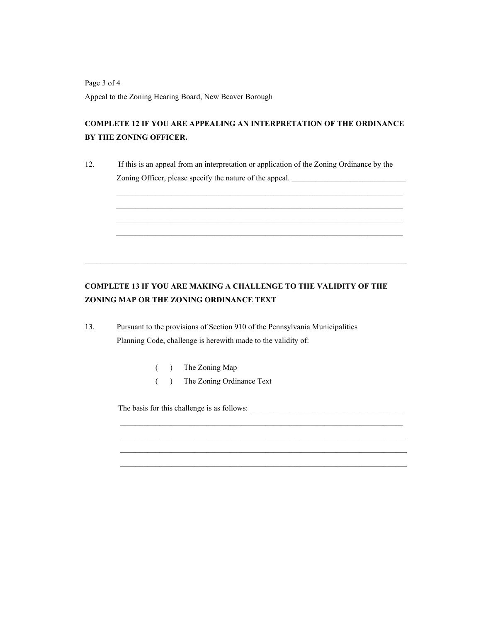Page 3 of 4 Appeal to the Zoning Hearing Board, New Beaver Borough

# **COMPLETE 12 IF YOU ARE APPEALING AN INTERPRETATION OF THE ORDINANCE BY THE ZONING OFFICER.**

12. If this is an appeal from an interpretation or application of the Zoning Ordinance by the Zoning Officer, please specify the nature of the appeal.

 $\mathcal{L}_\text{max}$  and  $\mathcal{L}_\text{max}$  and  $\mathcal{L}_\text{max}$  and  $\mathcal{L}_\text{max}$  and  $\mathcal{L}_\text{max}$  and  $\mathcal{L}_\text{max}$  $\mathcal{L}_\text{max}$  and  $\mathcal{L}_\text{max}$  and  $\mathcal{L}_\text{max}$  and  $\mathcal{L}_\text{max}$  and  $\mathcal{L}_\text{max}$  and  $\mathcal{L}_\text{max}$  $\mathcal{L}_\text{max}$  , and the contribution of the contribution of the contribution of the contribution of the contribution of the contribution of the contribution of the contribution of the contribution of the contribution of t  $\mathcal{L}_\text{max}$  and  $\mathcal{L}_\text{max}$  and  $\mathcal{L}_\text{max}$  and  $\mathcal{L}_\text{max}$  and  $\mathcal{L}_\text{max}$  and  $\mathcal{L}_\text{max}$ 

# **COMPLETE 13 IF YOU ARE MAKING A CHALLENGE TO THE VALIDITY OF THE ZONING MAP OR THE ZONING ORDINANCE TEXT**

 $\mathcal{L}_\mathcal{L} = \{ \mathcal{L}_\mathcal{L} = \{ \mathcal{L}_\mathcal{L} = \{ \mathcal{L}_\mathcal{L} = \{ \mathcal{L}_\mathcal{L} = \{ \mathcal{L}_\mathcal{L} = \{ \mathcal{L}_\mathcal{L} = \{ \mathcal{L}_\mathcal{L} = \{ \mathcal{L}_\mathcal{L} = \{ \mathcal{L}_\mathcal{L} = \{ \mathcal{L}_\mathcal{L} = \{ \mathcal{L}_\mathcal{L} = \{ \mathcal{L}_\mathcal{L} = \{ \mathcal{L}_\mathcal{L} = \{ \mathcal{L}_\mathcal{$ 

13. Pursuant to the provisions of Section 910 of the Pennsylvania Municipalities Planning Code, challenge is herewith made to the validity of:

( ) The Zoning Map

( ) The Zoning Ordinance Text

The basis for this challenge is as follows: \_\_\_\_\_\_\_\_\_\_\_\_\_\_\_\_\_\_\_\_\_\_\_\_\_\_\_\_\_\_\_\_\_\_\_\_\_\_\_

 $\overline{\phantom{a}}$  ,  $\overline{\phantom{a}}$  ,  $\overline{\phantom{a}}$  ,  $\overline{\phantom{a}}$  ,  $\overline{\phantom{a}}$  ,  $\overline{\phantom{a}}$  ,  $\overline{\phantom{a}}$  ,  $\overline{\phantom{a}}$  ,  $\overline{\phantom{a}}$  ,  $\overline{\phantom{a}}$  ,  $\overline{\phantom{a}}$  ,  $\overline{\phantom{a}}$  ,  $\overline{\phantom{a}}$  ,  $\overline{\phantom{a}}$  ,  $\overline{\phantom{a}}$  ,  $\overline{\phantom{a}}$  $\overline{\phantom{a}}$  ,  $\overline{\phantom{a}}$  ,  $\overline{\phantom{a}}$  ,  $\overline{\phantom{a}}$  ,  $\overline{\phantom{a}}$  ,  $\overline{\phantom{a}}$  ,  $\overline{\phantom{a}}$  ,  $\overline{\phantom{a}}$  ,  $\overline{\phantom{a}}$  ,  $\overline{\phantom{a}}$  ,  $\overline{\phantom{a}}$  ,  $\overline{\phantom{a}}$  ,  $\overline{\phantom{a}}$  ,  $\overline{\phantom{a}}$  ,  $\overline{\phantom{a}}$  ,  $\overline{\phantom{a}}$  $\mathcal{L}_\text{max} = \frac{1}{2} \sum_{i=1}^n \mathcal{L}_i \mathcal{L}_i + \mathcal{L}_i \mathcal{L}_i + \mathcal{L}_i \mathcal{L}_i + \mathcal{L}_i \mathcal{L}_i + \mathcal{L}_i \mathcal{L}_i + \mathcal{L}_i \mathcal{L}_i + \mathcal{L}_i \mathcal{L}_i + \mathcal{L}_i \mathcal{L}_i + \mathcal{L}_i \mathcal{L}_i + \mathcal{L}_i \mathcal{L}_i + \mathcal{L}_i \mathcal{L}_i + \mathcal{L}_i \mathcal{L}_i + \mathcal{L}_i \mathcal{L$  $\mathcal{L}_\text{max} = \frac{1}{2} \sum_{i=1}^n \mathcal{L}_i \mathcal{L}_i + \mathcal{L}_i \mathcal{L}_i + \mathcal{L}_i \mathcal{L}_i + \mathcal{L}_i \mathcal{L}_i + \mathcal{L}_i \mathcal{L}_i + \mathcal{L}_i \mathcal{L}_i + \mathcal{L}_i \mathcal{L}_i + \mathcal{L}_i \mathcal{L}_i + \mathcal{L}_i \mathcal{L}_i + \mathcal{L}_i \mathcal{L}_i + \mathcal{L}_i \mathcal{L}_i + \mathcal{L}_i \mathcal{L}_i + \mathcal{L}_i \mathcal{L$